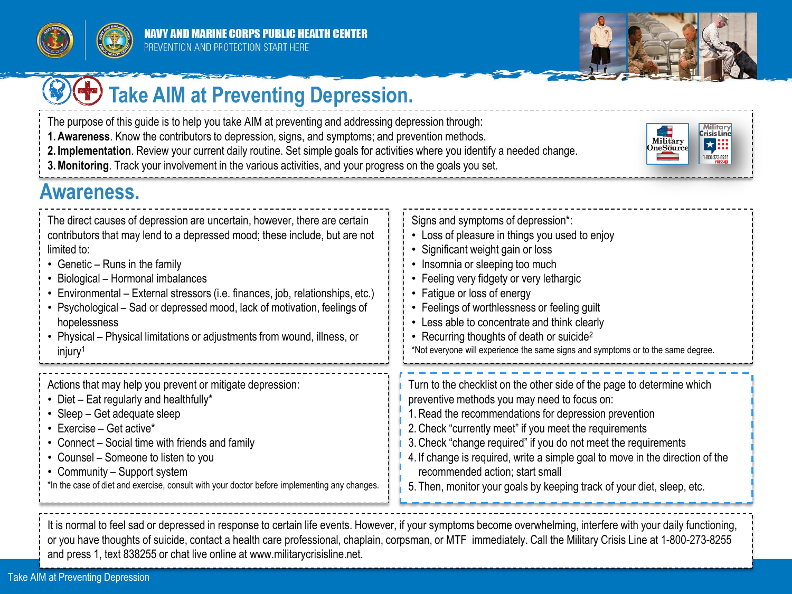



Military

OneSource

Military<br>**Crisis Line** 

★照

1-800-273-8255

# **Take AIM at Preventing Depression.**

- The purpose of this guide is to help you take AIM at preventing and addressing depression through:
- **1.Awareness**. Know the contributors to depression, signs, and symptoms; and prevention methods.
- **2. Implementation**. Review your current daily routine. Set simple goals for activities where you identify a needed change.
- **3.Monitoring**. Track your involvement in the various activities, and your progress on the goals you set.

#### **Awareness.**

| The direct causes of depression are uncertain, however, there are certain                    | Signs and symptoms of depression*:                                               |
|----------------------------------------------------------------------------------------------|----------------------------------------------------------------------------------|
| contributors that may lend to a depressed mood; these include, but are not                   | • Loss of pleasure in things you used to enjoy                                   |
| limited to:                                                                                  | • Significant weight gain or loss                                                |
| • Genetic – Runs in the family                                                               | • Insomnia or sleeping too much                                                  |
| • Biological - Hormonal imbalances                                                           | • Feeling very fidgety or very lethargic                                         |
| • Environmental – External stressors (i.e. finances, job, relationships, etc.)               | • Fatigue or loss of energy                                                      |
| • Psychological – Sad or depressed mood, lack of motivation, feelings of                     | • Feelings of worthlessness or feeling guilt                                     |
| hopelessness                                                                                 | • Less able to concentrate and think clearly                                     |
| • Physical – Physical limitations or adjustments from wound, illness, or                     | • Recurring thoughts of death or suicide <sup>2</sup>                            |
| injury <sup>1</sup>                                                                          | *Not everyone will experience the same signs and symptoms or to the same degree. |
| Actions that may help you prevent or mitigate depression:                                    | Turn to the checklist on the other side of the page to determine which           |
| • Diet – Eat regularly and healthfully*                                                      | preventive methods you may need to focus on:                                     |
| • Sleep – Get adequate sleep                                                                 | 1. Read the recommendations for depression prevention                            |
| • Exercise - Get active*                                                                     | 2. Check "currently meet" if you meet the requirements                           |
| • Connect – Social time with friends and family                                              | 3. Check "change required" if you do not meet the requirements                   |
| • Counsel – Someone to listen to you                                                         | 4. If change is required, write a simple goal to move in the direction of the    |
| • Community - Support system                                                                 | recommended action; start small                                                  |
| *In the case of diet and exercise, consult with your doctor before implementing any changes. | 5. Then, monitor your goals by keeping track of your diet, sleep, etc.           |

It is normal to feel sad or depressed in response to certain life events. However, if your symptoms become overwhelming, interfere with your daily functioning, or you have thoughts of suicide, contact a health care professional, chaplain, corpsman, or MTF immediately. Call the Military Crisis Line at 1-800-273-8255 and press 1, text 838255 or chat live online at www.militarycrisisline.net.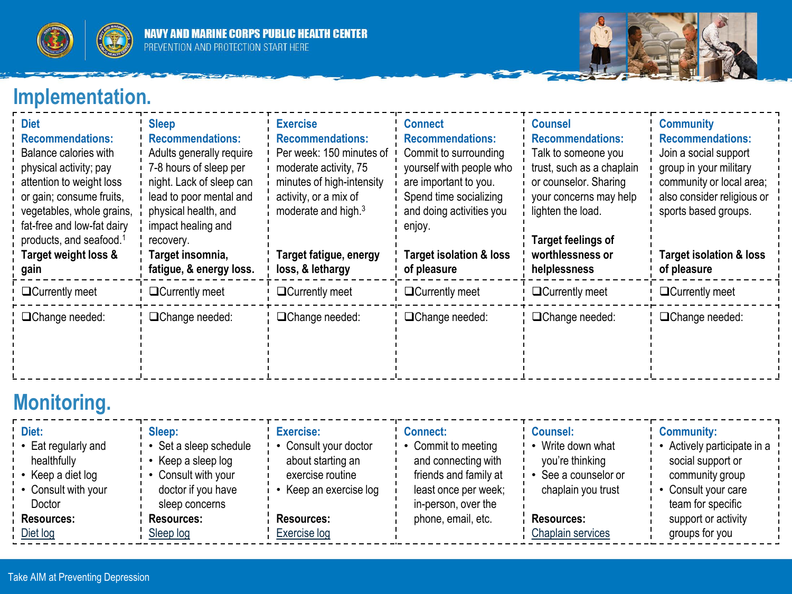



# **Implementation.**

| <b>Diet</b><br><b>Recommendations:</b><br>Balance calories with<br>physical activity; pay<br>attention to weight loss<br>or gain; consume fruits,<br>vegetables, whole grains,<br>fat-free and low-fat dairy<br>products, and seafood. <sup>1</sup><br>Target weight loss &<br>gain | <b>Sleep</b><br><b>Recommendations:</b><br>Adults generally require<br>7-8 hours of sleep per<br>night. Lack of sleep can<br>lead to poor mental and<br>physical health, and<br>impact healing and<br>recovery.<br>Target insomnia,<br>fatigue, & energy loss. | <b>Exercise</b><br><b>Recommendations:</b><br>Per week: 150 minutes of<br>moderate activity, 75<br>minutes of high-intensity<br>activity, or a mix of<br>moderate and high. <sup>3</sup><br>Target fatigue, energy<br>loss, & lethargy | <b>Connect</b><br><b>Recommendations:</b><br>Commit to surrounding<br>yourself with people who<br>are important to you.<br>Spend time socializing<br>and doing activities you<br>enjoy.<br><b>Target isolation &amp; loss</b><br>of pleasure | <b>Counsel</b><br><b>Recommendations:</b><br>Talk to someone you<br>trust, such as a chaplain<br>or counselor. Sharing<br>your concerns may help<br>lighten the load.<br><b>Target feelings of</b><br>worthlessness or<br>helplessness | <b>Community</b><br><b>Recommendations:</b><br>Join a social support<br>group in your military<br>community or local area;<br>also consider religious or<br>sports based groups.<br><b>Target isolation &amp; loss</b><br>of pleasure |
|-------------------------------------------------------------------------------------------------------------------------------------------------------------------------------------------------------------------------------------------------------------------------------------|----------------------------------------------------------------------------------------------------------------------------------------------------------------------------------------------------------------------------------------------------------------|----------------------------------------------------------------------------------------------------------------------------------------------------------------------------------------------------------------------------------------|----------------------------------------------------------------------------------------------------------------------------------------------------------------------------------------------------------------------------------------------|----------------------------------------------------------------------------------------------------------------------------------------------------------------------------------------------------------------------------------------|---------------------------------------------------------------------------------------------------------------------------------------------------------------------------------------------------------------------------------------|
| $\Box$ Currently meet                                                                                                                                                                                                                                                               | □Currently meet                                                                                                                                                                                                                                                | $\Box$ Currently meet                                                                                                                                                                                                                  | $\Box$ Currently meet                                                                                                                                                                                                                        | $\Box$ Currently meet                                                                                                                                                                                                                  | □Currently meet                                                                                                                                                                                                                       |
| □Change needed:                                                                                                                                                                                                                                                                     | □Change needed:                                                                                                                                                                                                                                                | □Change needed:                                                                                                                                                                                                                        | □Change needed:                                                                                                                                                                                                                              | □Change needed:                                                                                                                                                                                                                        | □Change needed:                                                                                                                                                                                                                       |

# **Monitoring.**

| Diet:<br>• Eat regularly and<br>healthfully<br>• Keep a diet log<br>• Consult with your<br>Doctor | Sleep:<br>Set a sleep schedule<br>Keep a sleep log<br>Consult with your<br>doctor if you have<br>sleep concerns | Exercise:<br>Consult your doctor<br>about starting an<br>exercise routine<br>Keep an exercise log | <b>Connect:</b><br>• Commit to meeting<br>and connecting with<br>friends and family at<br>least once per week;<br>in-person, over the | <b>Counsel:</b><br>Write down what<br>you're thinking<br>See a counselor or<br>chaplain you trust | <b>Community:</b><br>Actively participate in a<br>social support or<br>community group<br>Consult your care<br>team for specific |
|---------------------------------------------------------------------------------------------------|-----------------------------------------------------------------------------------------------------------------|---------------------------------------------------------------------------------------------------|---------------------------------------------------------------------------------------------------------------------------------------|---------------------------------------------------------------------------------------------------|----------------------------------------------------------------------------------------------------------------------------------|
| Resources:                                                                                        | <b>Resources:</b>                                                                                               | Resources:                                                                                        | phone, email, etc.                                                                                                                    | <b>Resources:</b>                                                                                 | support or activity                                                                                                              |
| Diet log                                                                                          | Sleep log                                                                                                       | Exercise log                                                                                      |                                                                                                                                       | Chaplain services                                                                                 | groups for you                                                                                                                   |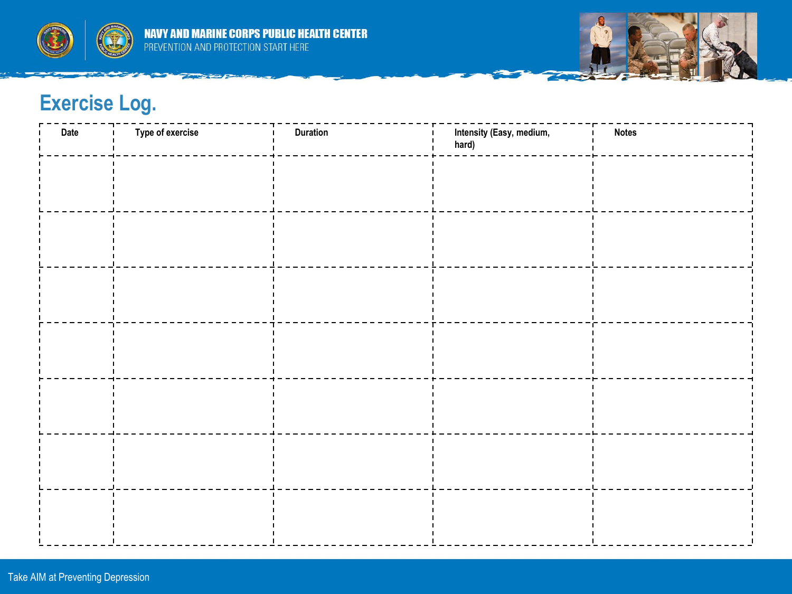



### **Exercise Log.**

<span id="page-2-0"></span>

| Date | <b>Type of exercise</b> | <b>Duration</b> | Intensity (Easy, medium,<br>hard) | <b>Notes</b> |
|------|-------------------------|-----------------|-----------------------------------|--------------|
|      |                         |                 |                                   |              |
|      |                         |                 |                                   |              |
|      |                         |                 |                                   |              |
|      |                         |                 |                                   |              |
|      |                         |                 |                                   |              |
|      |                         |                 |                                   |              |
|      |                         |                 |                                   |              |
|      |                         |                 |                                   |              |
|      |                         |                 |                                   |              |